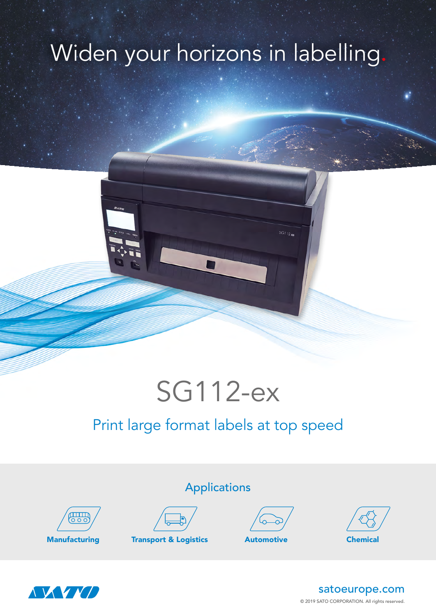## Widen your horizons in labelling



## Print large format labels at top speed



Applications



Manufacturing Transport & Logistics Automotive Chemical







© 2019 SATO CORPORATION. All rights reserved. satoeurope.com